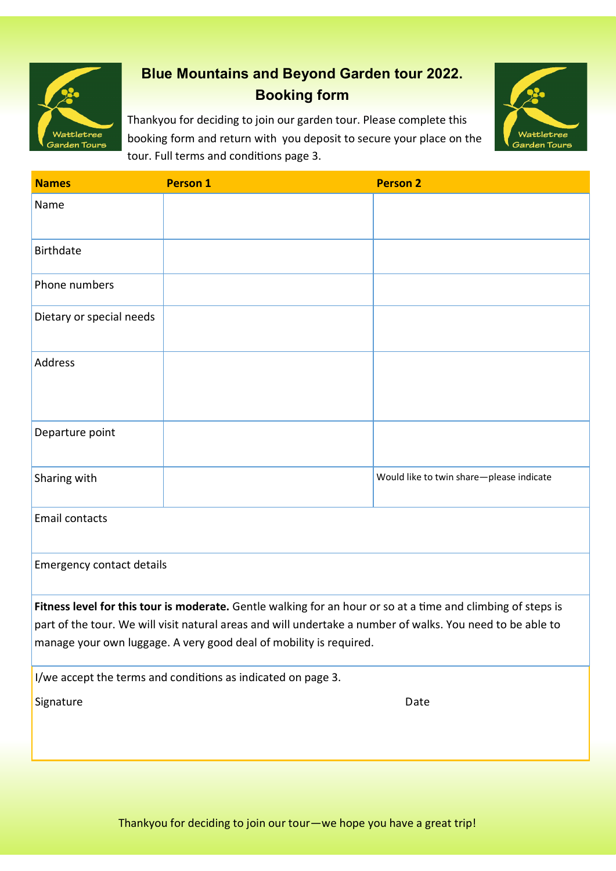

# **Blue Mountains and Beyond Garden tour 2022. Booking form**

Thankyou for deciding to join our garden tour. Please complete this booking form and return with you deposit to secure your place on the tour. Full terms and conditions page 3.



| <b>Names</b>                                                                                                                                                                                                                                                                                     | <b>Person 1</b> | <b>Person 2</b>                          |  |  |
|--------------------------------------------------------------------------------------------------------------------------------------------------------------------------------------------------------------------------------------------------------------------------------------------------|-----------------|------------------------------------------|--|--|
| Name                                                                                                                                                                                                                                                                                             |                 |                                          |  |  |
| <b>Birthdate</b>                                                                                                                                                                                                                                                                                 |                 |                                          |  |  |
| Phone numbers                                                                                                                                                                                                                                                                                    |                 |                                          |  |  |
| Dietary or special needs                                                                                                                                                                                                                                                                         |                 |                                          |  |  |
| Address                                                                                                                                                                                                                                                                                          |                 |                                          |  |  |
| Departure point                                                                                                                                                                                                                                                                                  |                 |                                          |  |  |
| Sharing with                                                                                                                                                                                                                                                                                     |                 | Would like to twin share-please indicate |  |  |
| Email contacts                                                                                                                                                                                                                                                                                   |                 |                                          |  |  |
| <b>Emergency contact details</b>                                                                                                                                                                                                                                                                 |                 |                                          |  |  |
| Fitness level for this tour is moderate. Gentle walking for an hour or so at a time and climbing of steps is<br>part of the tour. We will visit natural areas and will undertake a number of walks. You need to be able to<br>manage your own luggage. A very good deal of mobility is required. |                 |                                          |  |  |
| I/we accept the terms and conditions as indicated on page 3.                                                                                                                                                                                                                                     |                 |                                          |  |  |
| Signature                                                                                                                                                                                                                                                                                        |                 | Date                                     |  |  |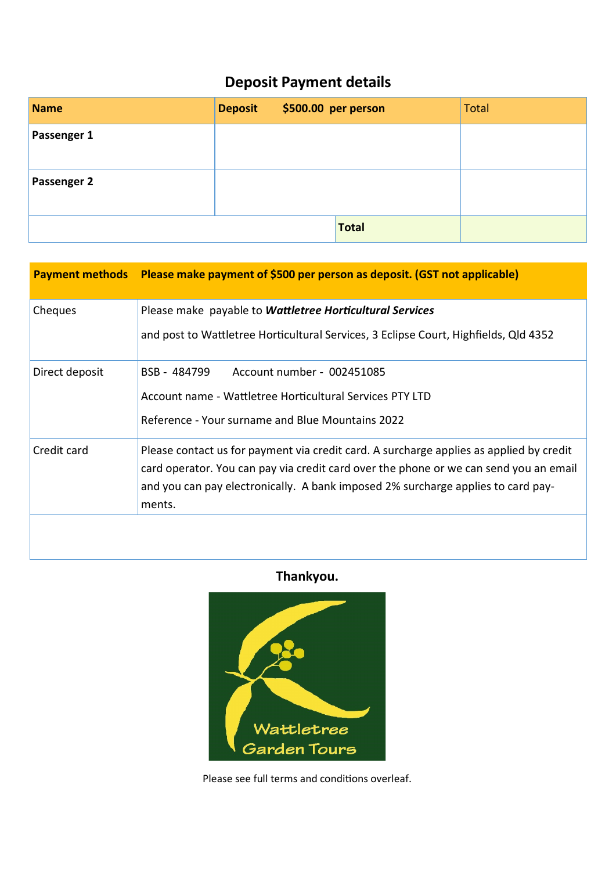# **Deposit Payment details**

| <b>Name</b>        | <b>Deposit</b> | \$500.00 per person |       | <b>Total</b> |
|--------------------|----------------|---------------------|-------|--------------|
| Passenger 1        |                |                     |       |              |
| <b>Passenger 2</b> |                |                     |       |              |
|                    |                |                     | Total |              |

|                | Payment methods Please make payment of \$500 per person as deposit. (GST not applicable)                                                                                                                                                                                       |
|----------------|--------------------------------------------------------------------------------------------------------------------------------------------------------------------------------------------------------------------------------------------------------------------------------|
| Cheques        | Please make payable to Wattletree Horticultural Services<br>and post to Wattletree Horticultural Services, 3 Eclipse Court, Highfields, Qld 4352                                                                                                                               |
| Direct deposit | BSB - 484799<br>Account number - 002451085<br>Account name - Wattletree Horticultural Services PTY LTD<br>Reference - Your surname and Blue Mountains 2022                                                                                                                     |
| Credit card    | Please contact us for payment via credit card. A surcharge applies as applied by credit<br>card operator. You can pay via credit card over the phone or we can send you an email<br>and you can pay electronically. A bank imposed 2% surcharge applies to card pay-<br>ments. |
|                |                                                                                                                                                                                                                                                                                |

# **Thankyou.**



Please see full terms and conditions overleaf.